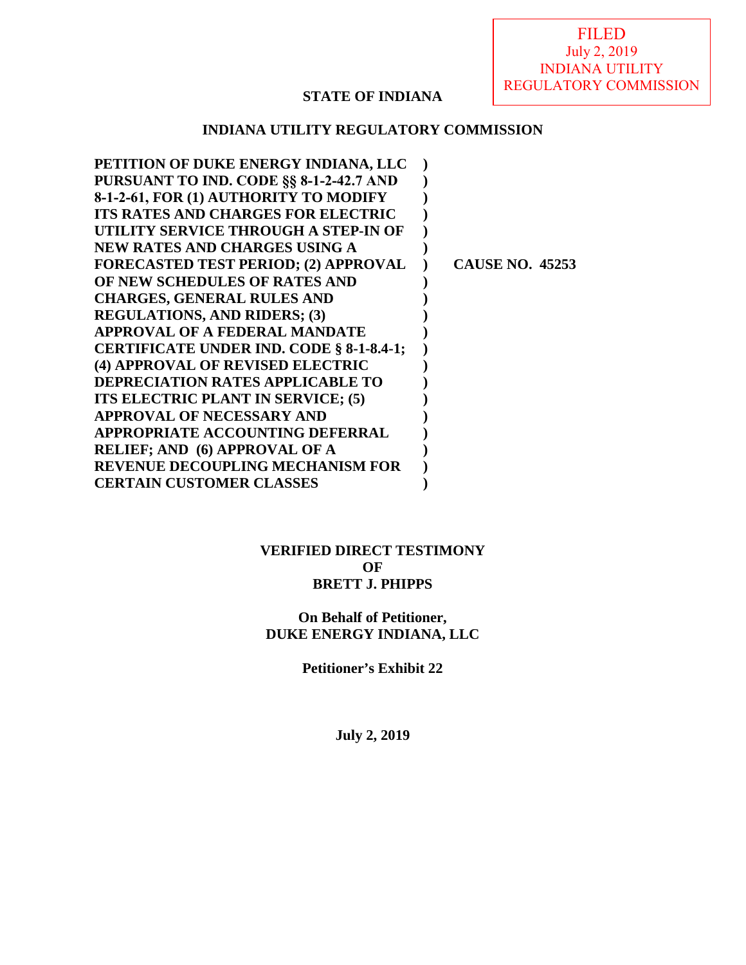# **STATE OF INDIANA**

## **INDIANA UTILITY REGULATORY COMMISSION**

| PETITION OF DUKE ENERGY INDIANA, LLC        |                        |
|---------------------------------------------|------------------------|
| PURSUANT TO IND. CODE §§ 8-1-2-42.7 AND     |                        |
| 8-1-2-61, FOR (1) AUTHORITY TO MODIFY       |                        |
| <b>ITS RATES AND CHARGES FOR ELECTRIC</b>   |                        |
| UTILITY SERVICE THROUGH A STEP-IN OF        |                        |
| <b>NEW RATES AND CHARGES USING A</b>        |                        |
| <b>FORECASTED TEST PERIOD; (2) APPROVAL</b> | <b>CAUSE NO. 45253</b> |
| OF NEW SCHEDULES OF RATES AND               |                        |
| <b>CHARGES, GENERAL RULES AND</b>           |                        |
| <b>REGULATIONS, AND RIDERS; (3)</b>         |                        |
| APPROVAL OF A FEDERAL MANDATE               |                        |
| CERTIFICATE UNDER IND. CODE § 8-1-8.4-1;    |                        |
| (4) APPROVAL OF REVISED ELECTRIC            |                        |
| <b>DEPRECIATION RATES APPLICABLE TO</b>     |                        |
| ITS ELECTRIC PLANT IN SERVICE; (5)          |                        |
| <b>APPROVAL OF NECESSARY AND</b>            |                        |
| <b>APPROPRIATE ACCOUNTING DEFERRAL</b>      |                        |
| <b>RELIEF; AND (6) APPROVAL OF A</b>        |                        |
| <b>REVENUE DECOUPLING MECHANISM FOR</b>     |                        |
| <b>CERTAIN CUSTOMER CLASSES</b>             |                        |
|                                             |                        |

## **VERIFIED DIRECT TESTIMONY OF BRETT J. PHIPPS**

## **On Behalf of Petitioner, DUKE ENERGY INDIANA, LLC**

**Petitioner's Exhibit 22** 

**July 2, 2019**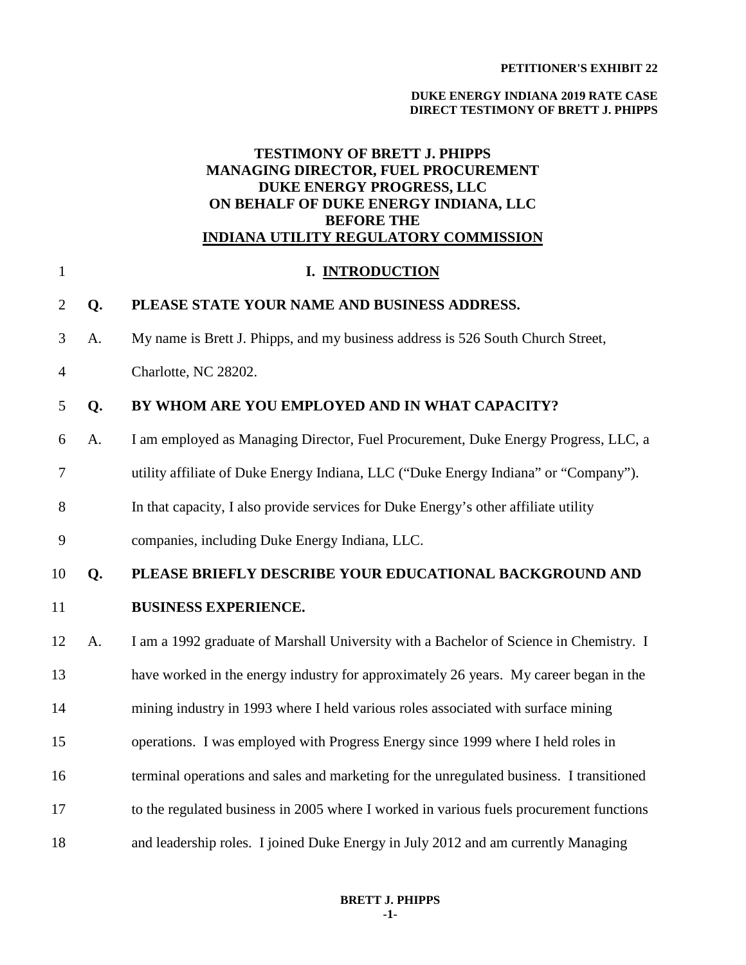#### **DUKE ENERGY INDIANA 2019 RATE CASE DIRECT TESTIMONY OF BRETT J. PHIPPS**

## **TESTIMONY OF BRETT J. PHIPPS MANAGING DIRECTOR, FUEL PROCUREMENT DUKE ENERGY PROGRESS, LLC ON BEHALF OF DUKE ENERGY INDIANA, LLC BEFORE THE INDIANA UTILITY REGULATORY COMMISSION**

| $\mathbf{1}$   |    | I. INTRODUCTION                                                                          |
|----------------|----|------------------------------------------------------------------------------------------|
| $\overline{2}$ | Q. | PLEASE STATE YOUR NAME AND BUSINESS ADDRESS.                                             |
| 3              | A. | My name is Brett J. Phipps, and my business address is 526 South Church Street,          |
| $\overline{4}$ |    | Charlotte, NC 28202.                                                                     |
| 5              | Q. | BY WHOM ARE YOU EMPLOYED AND IN WHAT CAPACITY?                                           |
| 6              | A. | I am employed as Managing Director, Fuel Procurement, Duke Energy Progress, LLC, a       |
| 7              |    | utility affiliate of Duke Energy Indiana, LLC ("Duke Energy Indiana" or "Company").      |
| 8              |    | In that capacity, I also provide services for Duke Energy's other affiliate utility      |
| 9              |    | companies, including Duke Energy Indiana, LLC.                                           |
|                |    |                                                                                          |
| 10             | Q. | PLEASE BRIEFLY DESCRIBE YOUR EDUCATIONAL BACKGROUND AND                                  |
| 11             |    | <b>BUSINESS EXPERIENCE.</b>                                                              |
| 12             | A. | I am a 1992 graduate of Marshall University with a Bachelor of Science in Chemistry. I   |
| 13             |    | have worked in the energy industry for approximately 26 years. My career began in the    |
| 14             |    | mining industry in 1993 where I held various roles associated with surface mining        |
| 15             |    | operations. I was employed with Progress Energy since 1999 where I held roles in         |
| 16             |    | terminal operations and sales and marketing for the unregulated business. I transitioned |
| 17             |    | to the regulated business in 2005 where I worked in various fuels procurement functions  |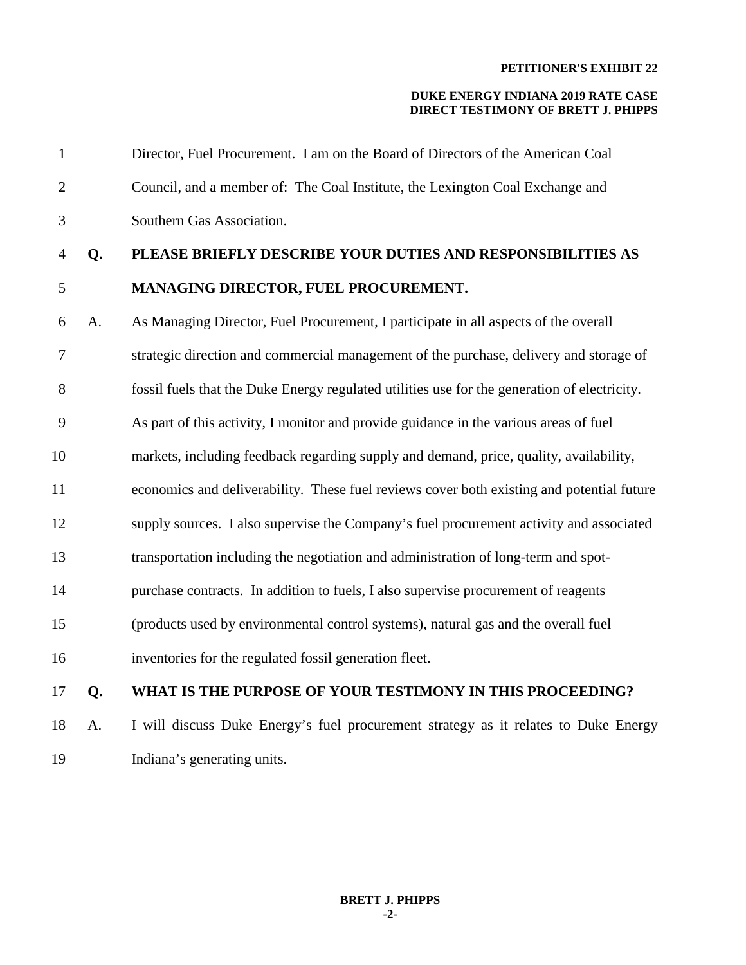| $\mathbf{1}$   |    | Director, Fuel Procurement. I am on the Board of Directors of the American Coal              |
|----------------|----|----------------------------------------------------------------------------------------------|
| $\overline{2}$ |    | Council, and a member of: The Coal Institute, the Lexington Coal Exchange and                |
| 3              |    | Southern Gas Association.                                                                    |
| 4              | Q. | PLEASE BRIEFLY DESCRIBE YOUR DUTIES AND RESPONSIBILITIES AS                                  |
| 5              |    | MANAGING DIRECTOR, FUEL PROCUREMENT.                                                         |
| 6              | A. | As Managing Director, Fuel Procurement, I participate in all aspects of the overall          |
| 7              |    | strategic direction and commercial management of the purchase, delivery and storage of       |
| 8              |    | fossil fuels that the Duke Energy regulated utilities use for the generation of electricity. |
| 9              |    | As part of this activity, I monitor and provide guidance in the various areas of fuel        |
| 10             |    | markets, including feedback regarding supply and demand, price, quality, availability,       |
| 11             |    | economics and deliverability. These fuel reviews cover both existing and potential future    |
| 12             |    | supply sources. I also supervise the Company's fuel procurement activity and associated      |
| 13             |    | transportation including the negotiation and administration of long-term and spot-           |
| 14             |    | purchase contracts. In addition to fuels, I also supervise procurement of reagents           |
| 15             |    | (products used by environmental control systems), natural gas and the overall fuel           |
| 16             |    | inventories for the regulated fossil generation fleet.                                       |
| 17             | Q. | WHAT IS THE PURPOSE OF YOUR TESTIMONY IN THIS PROCEEDING?                                    |
| 18             | A. | I will discuss Duke Energy's fuel procurement strategy as it relates to Duke Energy          |
| 19             |    | Indiana's generating units.                                                                  |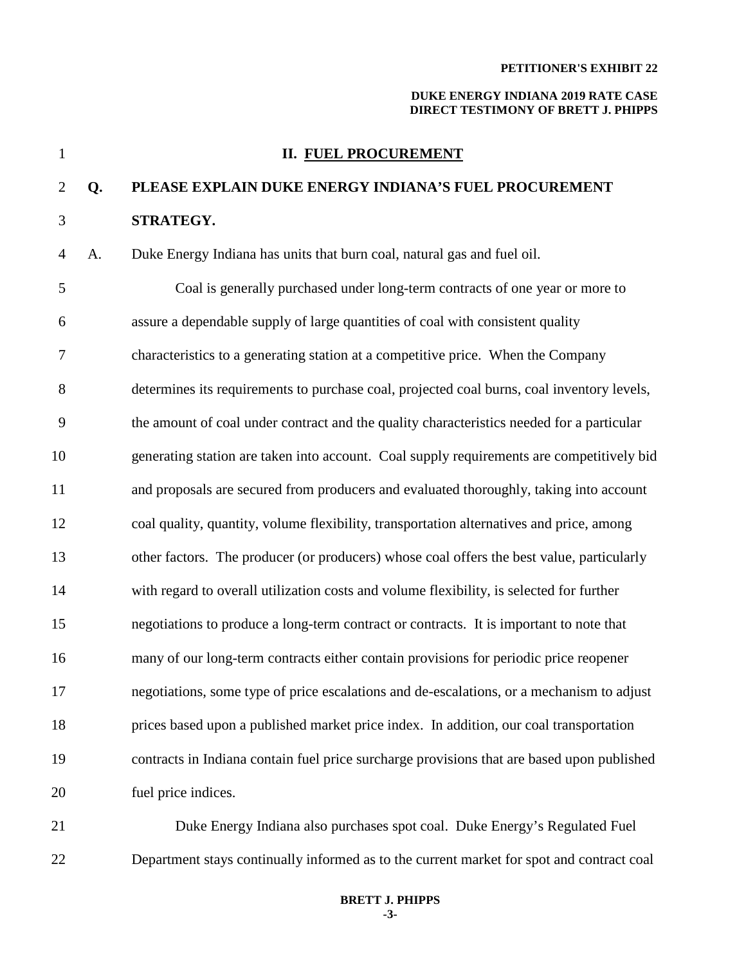## **DUKE ENERGY INDIANA 2019 RATE CASE DIRECT TESTIMONY OF BRETT J. PHIPPS**

| $\mathbf{1}$   |    | <b>II. FUEL PROCUREMENT</b>                                                                |
|----------------|----|--------------------------------------------------------------------------------------------|
| $\overline{2}$ | Q. | PLEASE EXPLAIN DUKE ENERGY INDIANA'S FUEL PROCUREMENT                                      |
| 3              |    | STRATEGY.                                                                                  |
| 4              | A. | Duke Energy Indiana has units that burn coal, natural gas and fuel oil.                    |
| 5              |    | Coal is generally purchased under long-term contracts of one year or more to               |
| 6              |    | assure a dependable supply of large quantities of coal with consistent quality             |
| 7              |    | characteristics to a generating station at a competitive price. When the Company           |
| 8              |    | determines its requirements to purchase coal, projected coal burns, coal inventory levels, |
| 9              |    | the amount of coal under contract and the quality characteristics needed for a particular  |
| 10             |    | generating station are taken into account. Coal supply requirements are competitively bid  |
| 11             |    | and proposals are secured from producers and evaluated thoroughly, taking into account     |
| 12             |    | coal quality, quantity, volume flexibility, transportation alternatives and price, among   |
| 13             |    | other factors. The producer (or producers) whose coal offers the best value, particularly  |
| 14             |    | with regard to overall utilization costs and volume flexibility, is selected for further   |
| 15             |    | negotiations to produce a long-term contract or contracts. It is important to note that    |
| 16             |    | many of our long-term contracts either contain provisions for periodic price reopener      |
| 17             |    | negotiations, some type of price escalations and de-escalations, or a mechanism to adjust  |
| 18             |    | prices based upon a published market price index. In addition, our coal transportation     |
| 19             |    | contracts in Indiana contain fuel price surcharge provisions that are based upon published |
| 20             |    | fuel price indices.                                                                        |
| 21             |    | Duke Energy Indiana also purchases spot coal. Duke Energy's Regulated Fuel                 |

22 Department stays continually informed as to the current market for spot and contract coal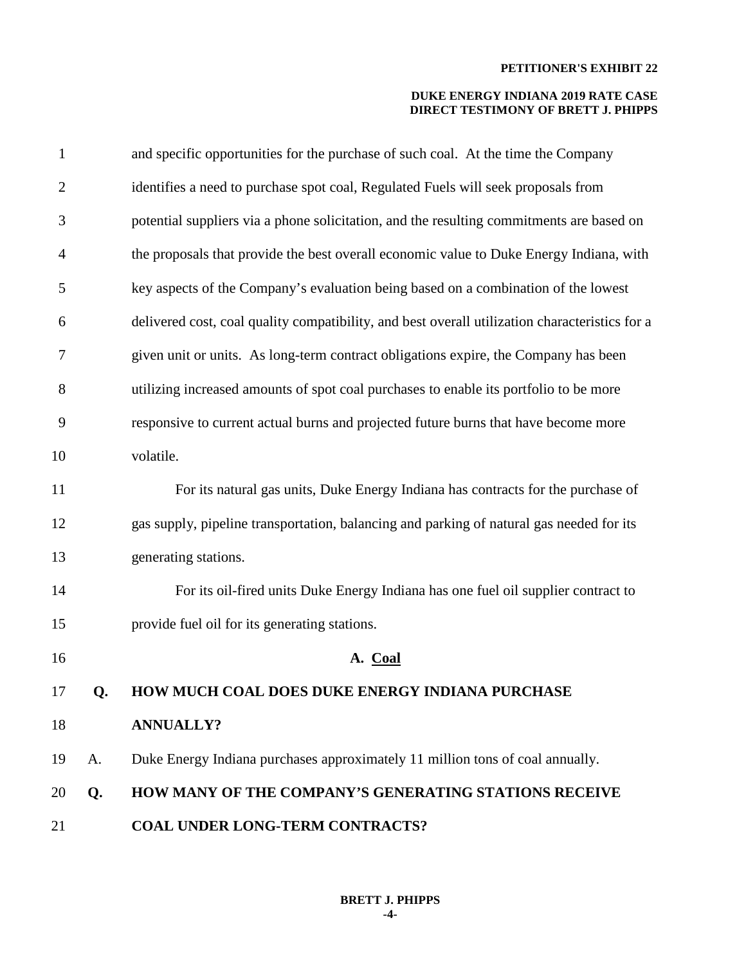| $\mathbf{1}$   |    | and specific opportunities for the purchase of such coal. At the time the Company              |
|----------------|----|------------------------------------------------------------------------------------------------|
| $\overline{2}$ |    | identifies a need to purchase spot coal, Regulated Fuels will seek proposals from              |
| 3              |    | potential suppliers via a phone solicitation, and the resulting commitments are based on       |
| $\overline{4}$ |    | the proposals that provide the best overall economic value to Duke Energy Indiana, with        |
| 5              |    | key aspects of the Company's evaluation being based on a combination of the lowest             |
| 6              |    | delivered cost, coal quality compatibility, and best overall utilization characteristics for a |
| 7              |    | given unit or units. As long-term contract obligations expire, the Company has been            |
| $8\,$          |    | utilizing increased amounts of spot coal purchases to enable its portfolio to be more          |
| 9              |    | responsive to current actual burns and projected future burns that have become more            |
| 10             |    | volatile.                                                                                      |
| 11             |    | For its natural gas units, Duke Energy Indiana has contracts for the purchase of               |
| 12             |    | gas supply, pipeline transportation, balancing and parking of natural gas needed for its       |
| 13             |    | generating stations.                                                                           |
| 14             |    | For its oil-fired units Duke Energy Indiana has one fuel oil supplier contract to              |
| 15             |    | provide fuel oil for its generating stations.                                                  |
| 16             |    | A. Coal                                                                                        |
| 17             | Q. | HOW MUCH COAL DOES DUKE ENERGY INDIANA PURCHASE                                                |
| 18             |    | <b>ANNUALLY?</b>                                                                               |
| 19             | A. | Duke Energy Indiana purchases approximately 11 million tons of coal annually.                  |
| 20             | Q. | HOW MANY OF THE COMPANY'S GENERATING STATIONS RECEIVE                                          |
| 21             |    | <b>COAL UNDER LONG-TERM CONTRACTS?</b>                                                         |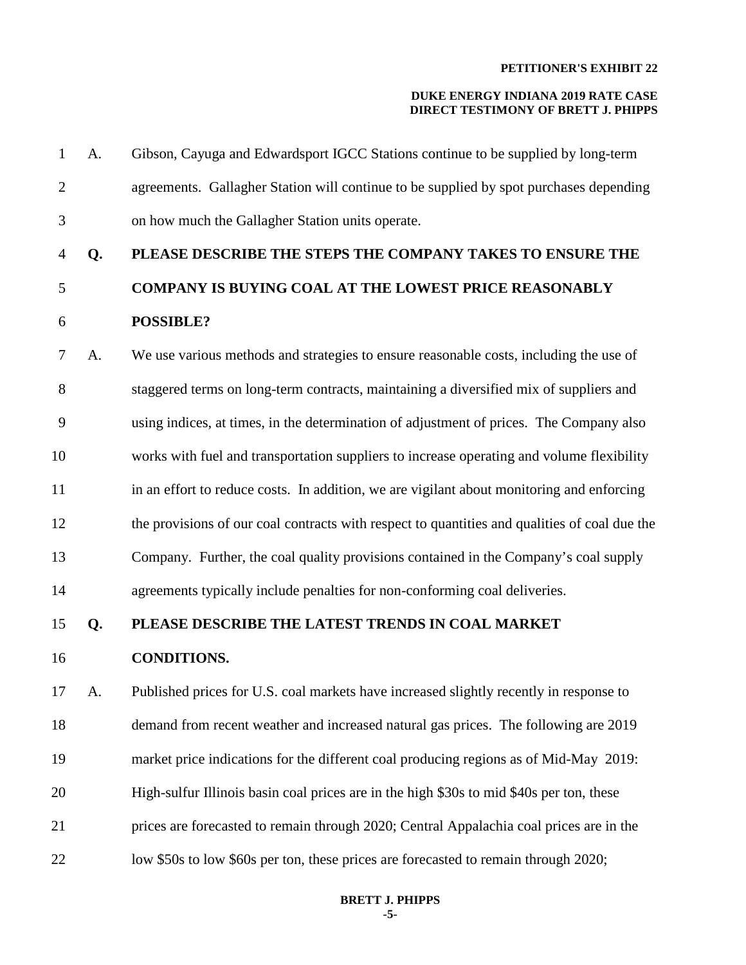| 1              | A. | Gibson, Cayuga and Edwardsport IGCC Stations continue to be supplied by long-term             |
|----------------|----|-----------------------------------------------------------------------------------------------|
| $\overline{2}$ |    | agreements. Gallagher Station will continue to be supplied by spot purchases depending        |
| $\mathfrak{Z}$ |    | on how much the Gallagher Station units operate.                                              |
| 4              | Q. | PLEASE DESCRIBE THE STEPS THE COMPANY TAKES TO ENSURE THE                                     |
| 5              |    | <b>COMPANY IS BUYING COAL AT THE LOWEST PRICE REASONABLY</b>                                  |
| 6              |    | <b>POSSIBLE?</b>                                                                              |
| 7              | A. | We use various methods and strategies to ensure reasonable costs, including the use of        |
| 8              |    | staggered terms on long-term contracts, maintaining a diversified mix of suppliers and        |
| 9              |    | using indices, at times, in the determination of adjustment of prices. The Company also       |
| 10             |    | works with fuel and transportation suppliers to increase operating and volume flexibility     |
| 11             |    | in an effort to reduce costs. In addition, we are vigilant about monitoring and enforcing     |
| 12             |    | the provisions of our coal contracts with respect to quantities and qualities of coal due the |
| 13             |    | Company. Further, the coal quality provisions contained in the Company's coal supply          |
| 14             |    | agreements typically include penalties for non-conforming coal deliveries.                    |
| 15             | Q. | PLEASE DESCRIBE THE LATEST TRENDS IN COAL MARKET                                              |
| 16             |    | <b>CONDITIONS.</b>                                                                            |
| 17             | A. | Published prices for U.S. coal markets have increased slightly recently in response to        |
| 18             |    | demand from recent weather and increased natural gas prices. The following are 2019           |
| 19             |    | market price indications for the different coal producing regions as of Mid-May 2019:         |
| 20             |    | High-sulfur Illinois basin coal prices are in the high \$30s to mid \$40s per ton, these      |
| 21             |    | prices are forecasted to remain through 2020; Central Appalachia coal prices are in the       |
| 22             |    | low \$50s to low \$60s per ton, these prices are forecasted to remain through 2020;           |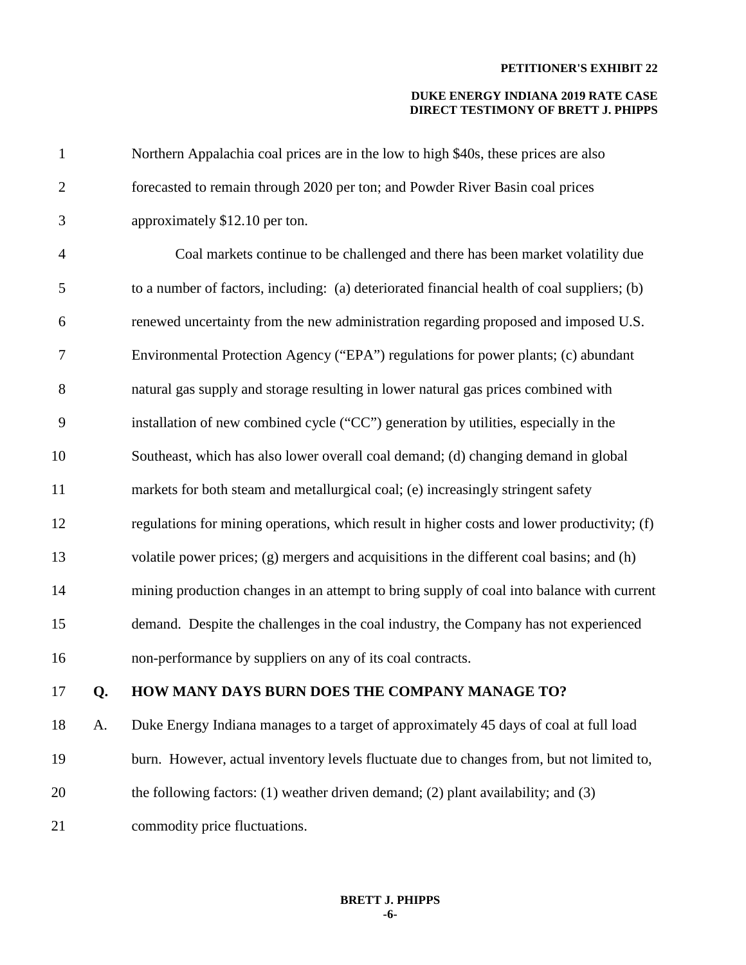| $\mathbf{1}$   |    | Northern Appalachia coal prices are in the low to high \$40s, these prices are also         |
|----------------|----|---------------------------------------------------------------------------------------------|
| $\overline{2}$ |    | forecasted to remain through 2020 per ton; and Powder River Basin coal prices               |
| $\mathfrak{Z}$ |    | approximately \$12.10 per ton.                                                              |
| $\overline{4}$ |    | Coal markets continue to be challenged and there has been market volatility due             |
| 5              |    | to a number of factors, including: (a) deteriorated financial health of coal suppliers; (b) |
| 6              |    | renewed uncertainty from the new administration regarding proposed and imposed U.S.         |
| 7              |    | Environmental Protection Agency ("EPA") regulations for power plants; (c) abundant          |
| 8              |    | natural gas supply and storage resulting in lower natural gas prices combined with          |
| 9              |    | installation of new combined cycle ("CC") generation by utilities, especially in the        |
| 10             |    | Southeast, which has also lower overall coal demand; (d) changing demand in global          |
| 11             |    | markets for both steam and metallurgical coal; (e) increasingly stringent safety            |
| 12             |    | regulations for mining operations, which result in higher costs and lower productivity; (f) |
| 13             |    | volatile power prices; (g) mergers and acquisitions in the different coal basins; and (h)   |
| 14             |    | mining production changes in an attempt to bring supply of coal into balance with current   |
| 15             |    | demand. Despite the challenges in the coal industry, the Company has not experienced        |
| 16             |    | non-performance by suppliers on any of its coal contracts.                                  |
| 17             | Q. | HOW MANY DAYS BURN DOES THE COMPANY MANAGE TO?                                              |
| 18             | A. | Duke Energy Indiana manages to a target of approximately 45 days of coal at full load       |
| 19             |    | burn. However, actual inventory levels fluctuate due to changes from, but not limited to,   |
| 20             |    | the following factors: $(1)$ weather driven demand; $(2)$ plant availability; and $(3)$     |
| 21             |    | commodity price fluctuations.                                                               |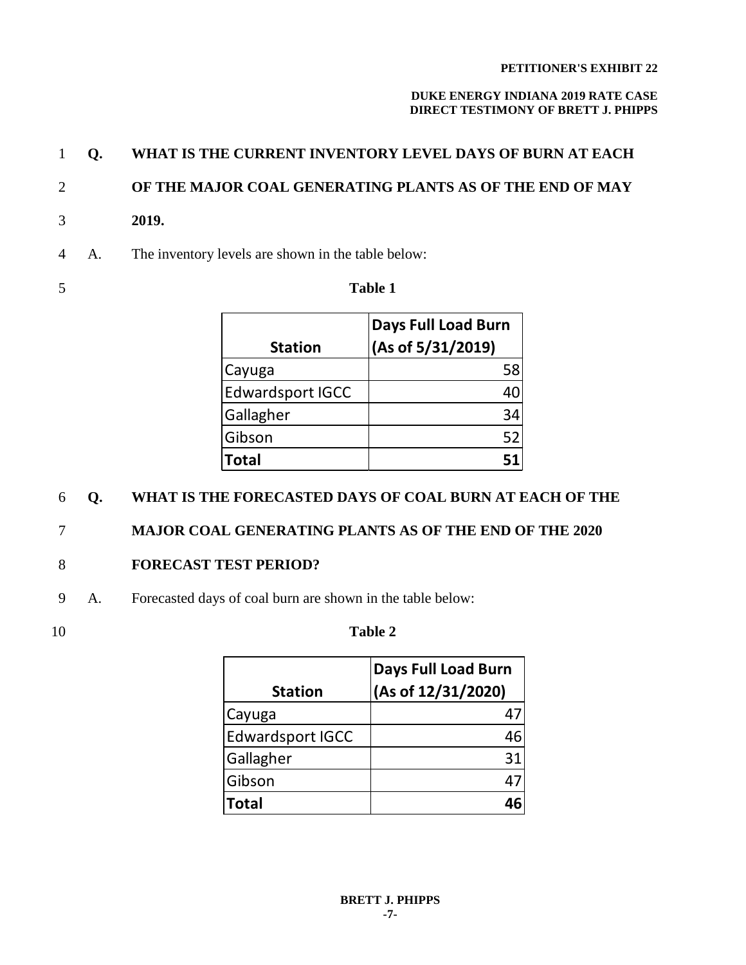## **DUKE ENERGY INDIANA 2019 RATE CASE DIRECT TESTIMONY OF BRETT J. PHIPPS**

# 1 **Q. WHAT IS THE CURRENT INVENTORY LEVEL DAYS OF BURN AT EACH**

# 2 **OF THE MAJOR COAL GENERATING PLANTS AS OF THE END OF MAY**

- 3 **2019.**
- 4 A. The inventory levels are shown in the table below:
- 

## 5 **Table 1**

| <b>Station</b>          | <b>Days Full Load Burn</b><br>(As of 5/31/2019) |
|-------------------------|-------------------------------------------------|
| Cayuga                  | 58                                              |
| <b>Edwardsport IGCC</b> |                                                 |
| Gallagher               | 34                                              |
| Gibson                  | 52                                              |
| Total                   |                                                 |

# 6 **Q. WHAT IS THE FORECASTED DAYS OF COAL BURN AT EACH OF THE**

# 7 **MAJOR COAL GENERATING PLANTS AS OF THE END OF THE 2020**

# 8 **FORECAST TEST PERIOD?**

- 9 A. Forecasted days of coal burn are shown in the table below:
- 

# 10 **Table 2**

| <b>Station</b>          | <b>Days Full Load Burn</b><br>(As of 12/31/2020) |
|-------------------------|--------------------------------------------------|
| Cayuga                  |                                                  |
| <b>Edwardsport IGCC</b> | 46                                               |
| Gallagher               | 31                                               |
| Gibson                  | 4                                                |
| <b>Total</b>            |                                                  |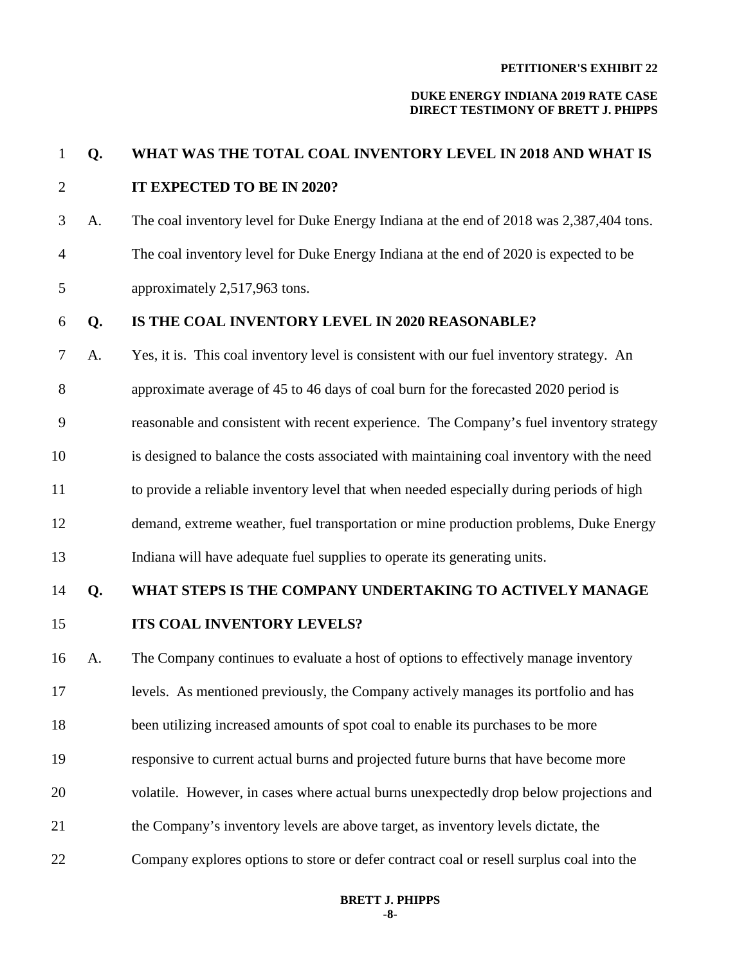### **DUKE ENERGY INDIANA 2019 RATE CASE DIRECT TESTIMONY OF BRETT J. PHIPPS**

# 2 **IT EXPECTED TO BE IN 2020?** 3 A. The coal inventory level for Duke Energy Indiana at the end of 2018 was 2,387,404 tons. 4 The coal inventory level for Duke Energy Indiana at the end of 2020 is expected to be 5 approximately 2,517,963 tons. 6 **Q. IS THE COAL INVENTORY LEVEL IN 2020 REASONABLE?** 7 A. Yes, it is. This coal inventory level is consistent with our fuel inventory strategy. An 8 approximate average of 45 to 46 days of coal burn for the forecasted 2020 period is 9 reasonable and consistent with recent experience. The Company's fuel inventory strategy 10 is designed to balance the costs associated with maintaining coal inventory with the need 11 to provide a reliable inventory level that when needed especially during periods of high 12 demand, extreme weather, fuel transportation or mine production problems, Duke Energy 13 Indiana will have adequate fuel supplies to operate its generating units. 14 **Q. WHAT STEPS IS THE COMPANY UNDERTAKING TO ACTIVELY MANAGE**  15 **ITS COAL INVENTORY LEVELS?** 16 A. The Company continues to evaluate a host of options to effectively manage inventory 17 levels. As mentioned previously, the Company actively manages its portfolio and has 18 been utilizing increased amounts of spot coal to enable its purchases to be more 19 responsive to current actual burns and projected future burns that have become more 20 volatile. However, in cases where actual burns unexpectedly drop below projections and 21 the Company's inventory levels are above target, as inventory levels dictate, the 22 Company explores options to store or defer contract coal or resell surplus coal into the

1 **Q. WHAT WAS THE TOTAL COAL INVENTORY LEVEL IN 2018 AND WHAT IS**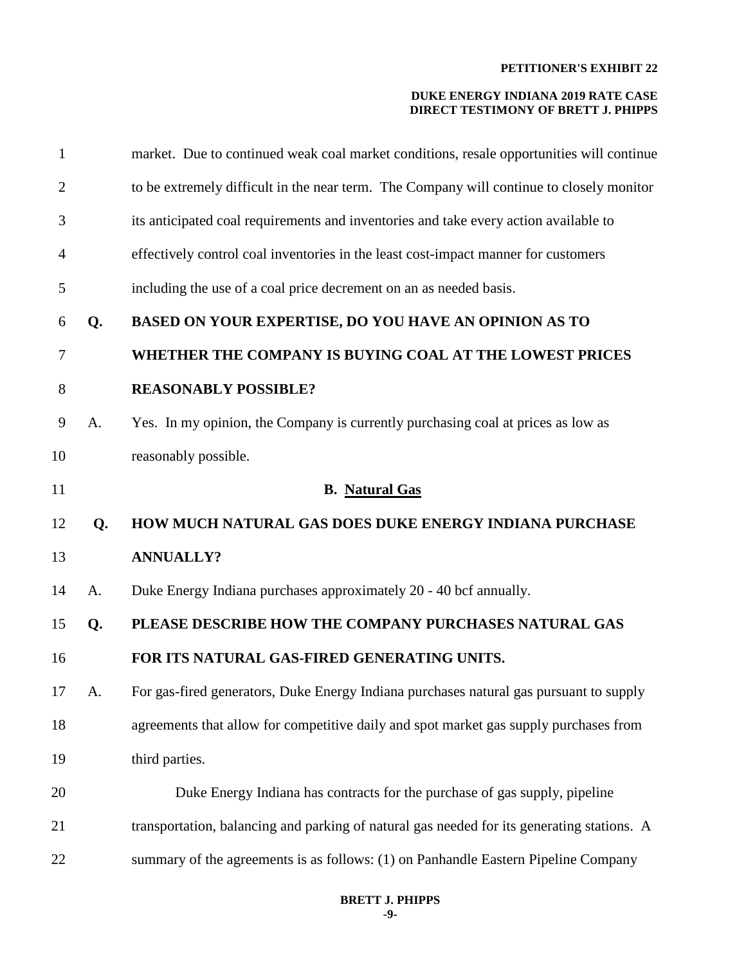| $\mathbf{1}$   |    | market. Due to continued weak coal market conditions, resale opportunities will continue   |
|----------------|----|--------------------------------------------------------------------------------------------|
| $\overline{2}$ |    | to be extremely difficult in the near term. The Company will continue to closely monitor   |
| 3              |    | its anticipated coal requirements and inventories and take every action available to       |
| 4              |    | effectively control coal inventories in the least cost-impact manner for customers         |
| 5              |    | including the use of a coal price decrement on an as needed basis.                         |
| 6              | Q. | BASED ON YOUR EXPERTISE, DO YOU HAVE AN OPINION AS TO                                      |
| 7              |    | WHETHER THE COMPANY IS BUYING COAL AT THE LOWEST PRICES                                    |
| 8              |    | <b>REASONABLY POSSIBLE?</b>                                                                |
| 9              | A. | Yes. In my opinion, the Company is currently purchasing coal at prices as low as           |
| 10             |    | reasonably possible.                                                                       |
| 11             |    | <b>B.</b> Natural Gas                                                                      |
|                |    |                                                                                            |
| 12             | Q. | HOW MUCH NATURAL GAS DOES DUKE ENERGY INDIANA PURCHASE                                     |
| 13             |    | <b>ANNUALLY?</b>                                                                           |
| 14             | A. | Duke Energy Indiana purchases approximately 20 - 40 bcf annually.                          |
| 15             | Q. | PLEASE DESCRIBE HOW THE COMPANY PURCHASES NATURAL GAS                                      |
| 16             |    | FOR ITS NATURAL GAS-FIRED GENERATING UNITS.                                                |
| 17             | A. | For gas-fired generators, Duke Energy Indiana purchases natural gas pursuant to supply     |
| 18             |    | agreements that allow for competitive daily and spot market gas supply purchases from      |
| 19             |    | third parties.                                                                             |
| 20             |    | Duke Energy Indiana has contracts for the purchase of gas supply, pipeline                 |
| 21             |    | transportation, balancing and parking of natural gas needed for its generating stations. A |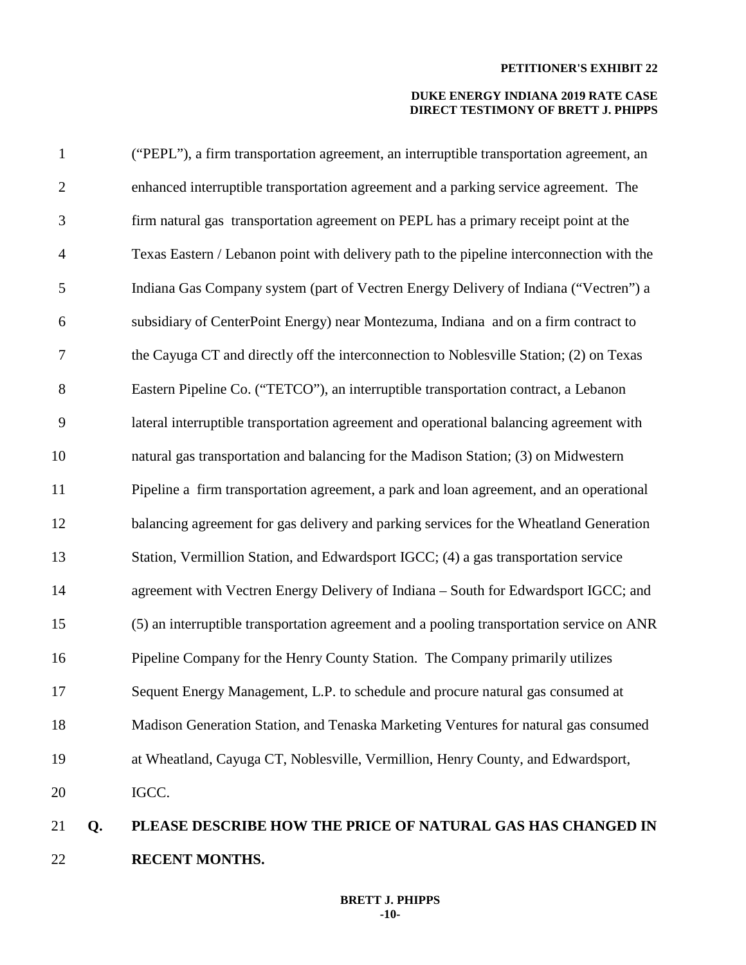## **DUKE ENERGY INDIANA 2019 RATE CASE DIRECT TESTIMONY OF BRETT J. PHIPPS**

| 21             | Q. | PLEASE DESCRIBE HOW THE PRICE OF NATURAL GAS HAS CHANGED IN                               |
|----------------|----|-------------------------------------------------------------------------------------------|
| 20             |    | IGCC.                                                                                     |
| 19             |    | at Wheatland, Cayuga CT, Noblesville, Vermillion, Henry County, and Edwardsport,          |
| 18             |    | Madison Generation Station, and Tenaska Marketing Ventures for natural gas consumed       |
| 17             |    | Sequent Energy Management, L.P. to schedule and procure natural gas consumed at           |
| 16             |    | Pipeline Company for the Henry County Station. The Company primarily utilizes             |
| 15             |    | (5) an interruptible transportation agreement and a pooling transportation service on ANR |
| 14             |    | agreement with Vectren Energy Delivery of Indiana - South for Edwardsport IGCC; and       |
| 13             |    | Station, Vermillion Station, and Edwardsport IGCC; (4) a gas transportation service       |
| 12             |    | balancing agreement for gas delivery and parking services for the Wheatland Generation    |
| 11             |    | Pipeline a firm transportation agreement, a park and loan agreement, and an operational   |
| 10             |    | natural gas transportation and balancing for the Madison Station; (3) on Midwestern       |
| 9              |    | lateral interruptible transportation agreement and operational balancing agreement with   |
| $8\,$          |    | Eastern Pipeline Co. ("TETCO"), an interruptible transportation contract, a Lebanon       |
| 7              |    | the Cayuga CT and directly off the interconnection to Noblesville Station; (2) on Texas   |
| 6              |    | subsidiary of CenterPoint Energy) near Montezuma, Indiana and on a firm contract to       |
| 5              |    | Indiana Gas Company system (part of Vectren Energy Delivery of Indiana ("Vectren") a      |
| $\overline{4}$ |    | Texas Eastern / Lebanon point with delivery path to the pipeline interconnection with the |
| 3              |    | firm natural gas transportation agreement on PEPL has a primary receipt point at the      |
| $\overline{2}$ |    | enhanced interruptible transportation agreement and a parking service agreement. The      |
| $\mathbf{1}$   |    | ("PEPL"), a firm transportation agreement, an interruptible transportation agreement, an  |

22 **RECENT MONTHS.**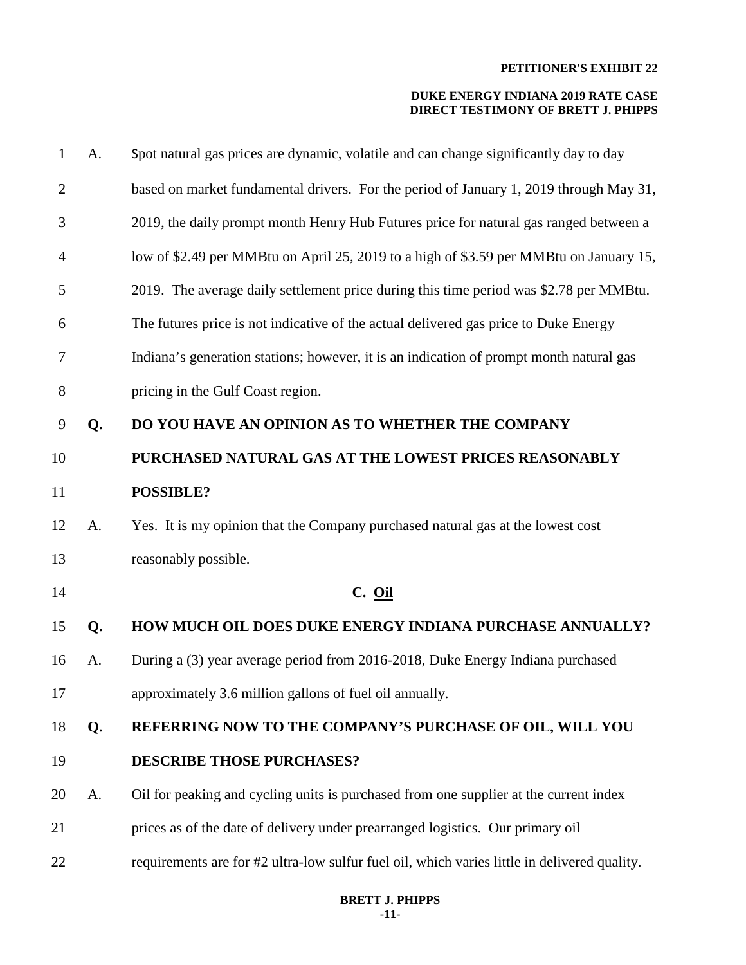| 1              | A. | Spot natural gas prices are dynamic, volatile and can change significantly day to day        |
|----------------|----|----------------------------------------------------------------------------------------------|
| $\overline{2}$ |    | based on market fundamental drivers. For the period of January 1, 2019 through May 31,       |
| 3              |    | 2019, the daily prompt month Henry Hub Futures price for natural gas ranged between a        |
| 4              |    | low of \$2.49 per MMBtu on April 25, 2019 to a high of \$3.59 per MMBtu on January 15,       |
| 5              |    | 2019. The average daily settlement price during this time period was \$2.78 per MMBtu.       |
| 6              |    | The futures price is not indicative of the actual delivered gas price to Duke Energy         |
| 7              |    | Indiana's generation stations; however, it is an indication of prompt month natural gas      |
| 8              |    | pricing in the Gulf Coast region.                                                            |
| 9              | Q. | DO YOU HAVE AN OPINION AS TO WHETHER THE COMPANY                                             |
| 10             |    | PURCHASED NATURAL GAS AT THE LOWEST PRICES REASONABLY                                        |
| 11             |    | <b>POSSIBLE?</b>                                                                             |
| 12             | A. | Yes. It is my opinion that the Company purchased natural gas at the lowest cost              |
| 13             |    | reasonably possible.                                                                         |
| 14             |    | $C.$ $Oil$                                                                                   |
| 15             | Q. | HOW MUCH OIL DOES DUKE ENERGY INDIANA PURCHASE ANNUALLY?                                     |
| 16             | A. | During a (3) year average period from 2016-2018, Duke Energy Indiana purchased               |
| 17             |    | approximately 3.6 million gallons of fuel oil annually.                                      |
| 18             | Q. | REFERRING NOW TO THE COMPANY'S PURCHASE OF OIL, WILL YOU                                     |
| 19             |    | <b>DESCRIBE THOSE PURCHASES?</b>                                                             |
| 20             | A. | Oil for peaking and cycling units is purchased from one supplier at the current index        |
| 21             |    | prices as of the date of delivery under prearranged logistics. Our primary oil               |
| 22             |    | requirements are for #2 ultra-low sulfur fuel oil, which varies little in delivered quality. |
|                |    |                                                                                              |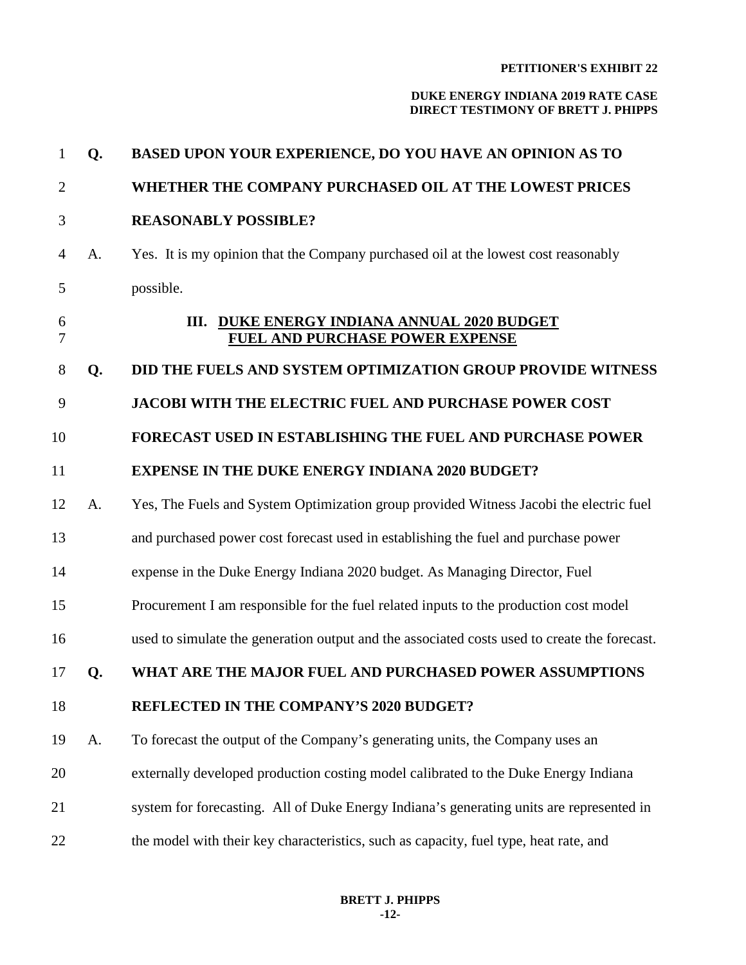| $\mathbf{1}$   | Q. | BASED UPON YOUR EXPERIENCE, DO YOU HAVE AN OPINION AS TO                                     |
|----------------|----|----------------------------------------------------------------------------------------------|
| $\overline{2}$ |    | WHETHER THE COMPANY PURCHASED OIL AT THE LOWEST PRICES                                       |
| 3              |    | <b>REASONABLY POSSIBLE?</b>                                                                  |
| $\overline{4}$ | A. | Yes. It is my opinion that the Company purchased oil at the lowest cost reasonably           |
| 5              |    | possible.                                                                                    |
| 6<br>7         |    | III. DUKE ENERGY INDIANA ANNUAL 2020 BUDGET<br><b>FUEL AND PURCHASE POWER EXPENSE</b>        |
| 8              | Q. | DID THE FUELS AND SYSTEM OPTIMIZATION GROUP PROVIDE WITNESS                                  |
| 9              |    | <b>JACOBI WITH THE ELECTRIC FUEL AND PURCHASE POWER COST</b>                                 |
| 10             |    | <b>FORECAST USED IN ESTABLISHING THE FUEL AND PURCHASE POWER</b>                             |
| 11             |    | <b>EXPENSE IN THE DUKE ENERGY INDIANA 2020 BUDGET?</b>                                       |
| 12             | A. | Yes, The Fuels and System Optimization group provided Witness Jacobi the electric fuel       |
| 13             |    | and purchased power cost forecast used in establishing the fuel and purchase power           |
| 14             |    | expense in the Duke Energy Indiana 2020 budget. As Managing Director, Fuel                   |
| 15             |    | Procurement I am responsible for the fuel related inputs to the production cost model        |
| 16             |    | used to simulate the generation output and the associated costs used to create the forecast. |
| 17             | Q. | WHAT ARE THE MAJOR FUEL AND PURCHASED POWER ASSUMPTIONS                                      |
| 18             |    | <b>REFLECTED IN THE COMPANY'S 2020 BUDGET?</b>                                               |
| 19             | A. | To forecast the output of the Company's generating units, the Company uses an                |
| 20             |    | externally developed production costing model calibrated to the Duke Energy Indiana          |
| 21             |    | system for forecasting. All of Duke Energy Indiana's generating units are represented in     |
| 22             |    | the model with their key characteristics, such as capacity, fuel type, heat rate, and        |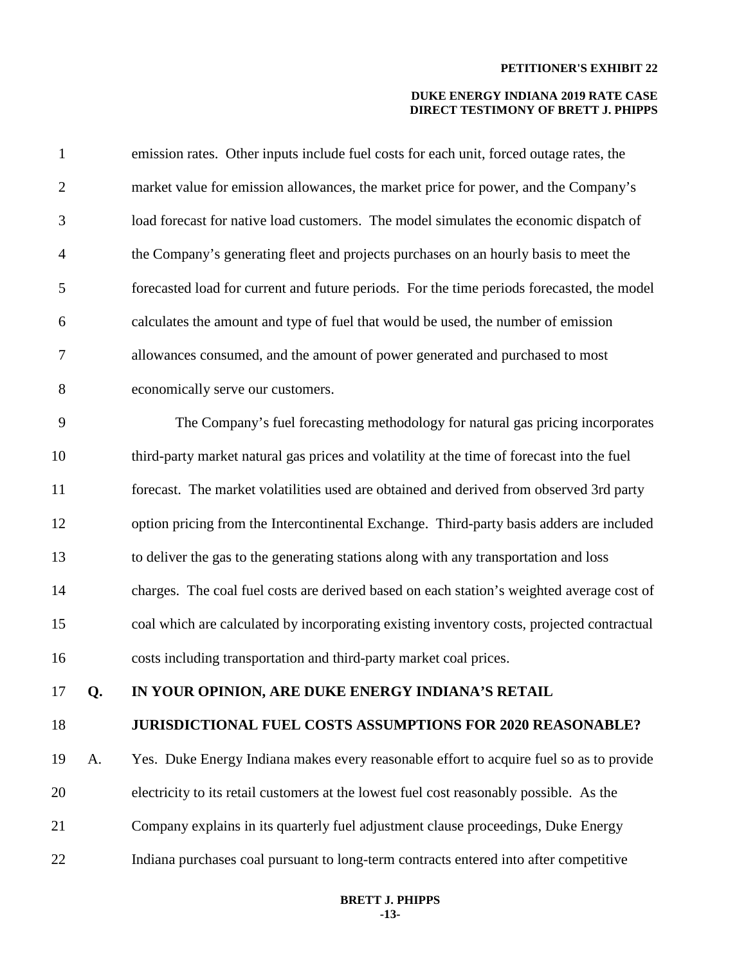| $\mathbf{1}$   |    | emission rates. Other inputs include fuel costs for each unit, forced outage rates, the    |
|----------------|----|--------------------------------------------------------------------------------------------|
| $\overline{2}$ |    | market value for emission allowances, the market price for power, and the Company's        |
| 3              |    | load forecast for native load customers. The model simulates the economic dispatch of      |
| $\overline{4}$ |    | the Company's generating fleet and projects purchases on an hourly basis to meet the       |
| 5              |    | forecasted load for current and future periods. For the time periods forecasted, the model |
| 6              |    | calculates the amount and type of fuel that would be used, the number of emission          |
| 7              |    | allowances consumed, and the amount of power generated and purchased to most               |
| $8\,$          |    | economically serve our customers.                                                          |
| 9              |    | The Company's fuel forecasting methodology for natural gas pricing incorporates            |
| 10             |    | third-party market natural gas prices and volatility at the time of forecast into the fuel |
| 11             |    | forecast. The market volatilities used are obtained and derived from observed 3rd party    |
| 12             |    | option pricing from the Intercontinental Exchange. Third-party basis adders are included   |
| 13             |    | to deliver the gas to the generating stations along with any transportation and loss       |
| 14             |    | charges. The coal fuel costs are derived based on each station's weighted average cost of  |
| 15             |    | coal which are calculated by incorporating existing inventory costs, projected contractual |
| 16             |    | costs including transportation and third-party market coal prices.                         |
| 17             | Q. | IN YOUR OPINION, ARE DUKE ENERGY INDIANA'S RETAIL                                          |
| 18             |    | <b>JURISDICTIONAL FUEL COSTS ASSUMPTIONS FOR 2020 REASONABLE?</b>                          |
| 19             | A. | Yes. Duke Energy Indiana makes every reasonable effort to acquire fuel so as to provide    |
| 20             |    | electricity to its retail customers at the lowest fuel cost reasonably possible. As the    |
| 21             |    | Company explains in its quarterly fuel adjustment clause proceedings, Duke Energy          |
| 22             |    | Indiana purchases coal pursuant to long-term contracts entered into after competitive      |
|                |    |                                                                                            |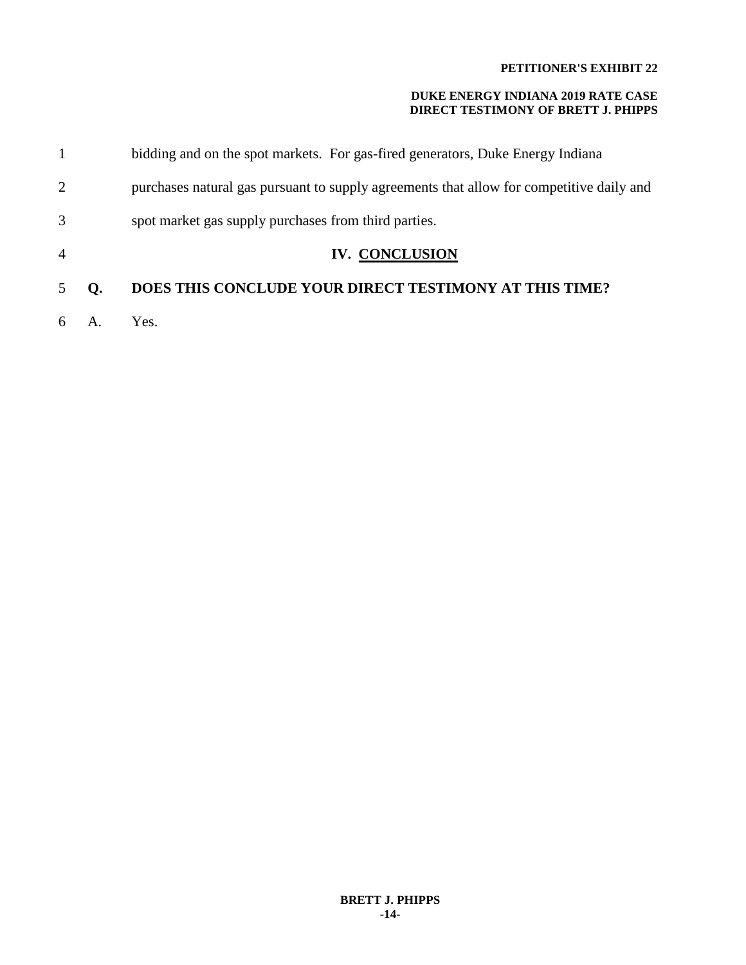|                |    | bidding and on the spot markets. For gas-fired generators, Duke Energy Indiana           |
|----------------|----|------------------------------------------------------------------------------------------|
| 2              |    | purchases natural gas pursuant to supply agreements that allow for competitive daily and |
| 3              |    | spot market gas supply purchases from third parties.                                     |
| $\overline{4}$ |    | <b>IV. CONCLUSION</b>                                                                    |
| 5              | O. | <b>DOES THIS CONCLUDE YOUR DIRECT TESTIMONY AT THIS TIME?</b>                            |
| 6              |    | Yes.                                                                                     |